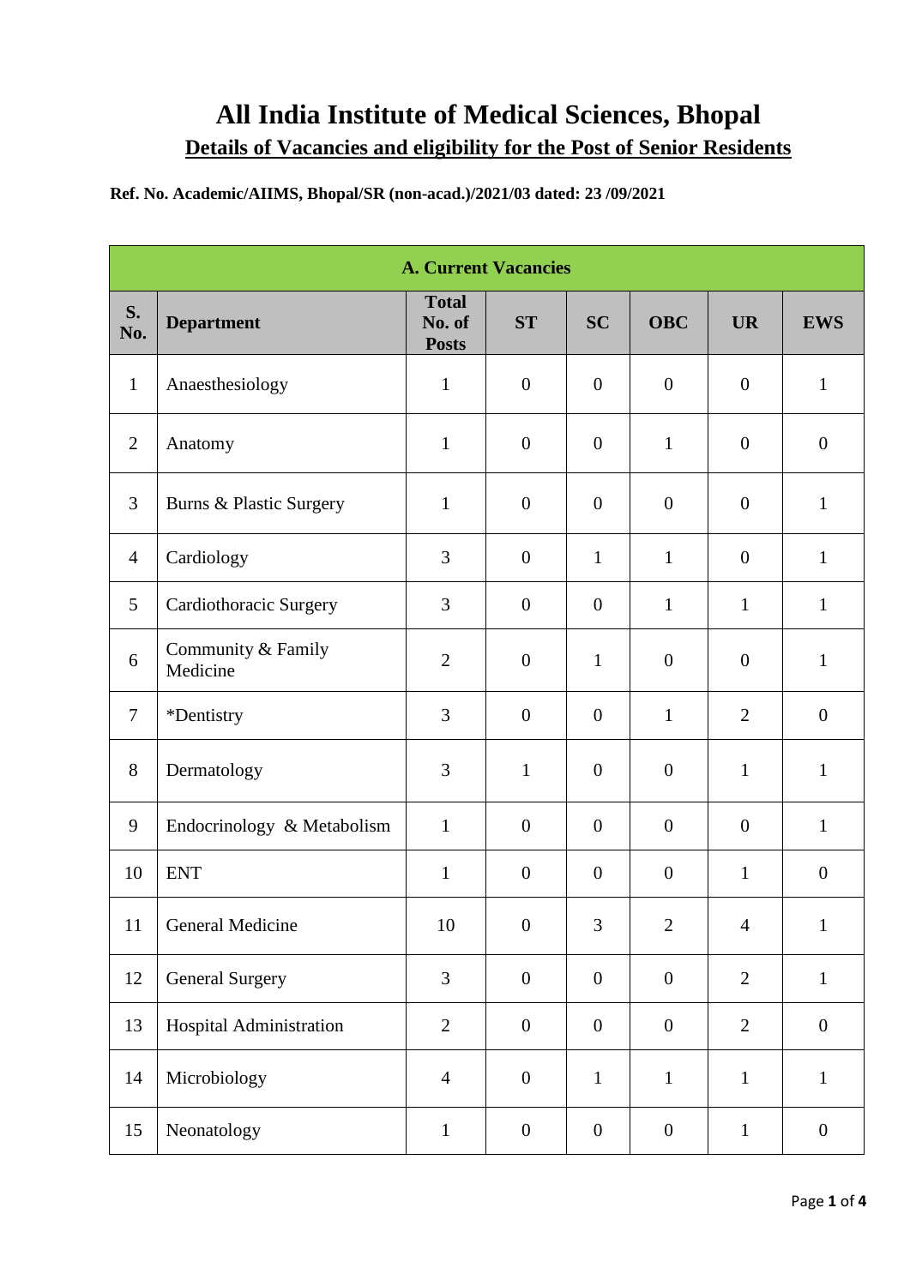## **All India Institute of Medical Sciences, Bhopal Details of Vacancies and eligibility for the Post of Senior Residents**

## **Ref. No. Academic/AIIMS, Bhopal/SR (non-acad.)/2021/03 dated: 23 /09/2021**

| <b>A. Current Vacancies</b> |                                |                                        |                  |                  |                  |                  |                  |
|-----------------------------|--------------------------------|----------------------------------------|------------------|------------------|------------------|------------------|------------------|
| S.<br>No.                   | <b>Department</b>              | <b>Total</b><br>No. of<br><b>Posts</b> | <b>ST</b>        | <b>SC</b>        | <b>OBC</b>       | <b>UR</b>        | <b>EWS</b>       |
| $\mathbf{1}$                | Anaesthesiology                | $\mathbf{1}$                           | $\boldsymbol{0}$ | $\boldsymbol{0}$ | $\boldsymbol{0}$ | $\boldsymbol{0}$ | $\mathbf{1}$     |
| $\overline{2}$              | Anatomy                        | $\mathbf{1}$                           | $\boldsymbol{0}$ | $\boldsymbol{0}$ | $\mathbf{1}$     | $\boldsymbol{0}$ | $\boldsymbol{0}$ |
| 3                           | Burns & Plastic Surgery        | $\mathbf{1}$                           | $\boldsymbol{0}$ | $\boldsymbol{0}$ | $\boldsymbol{0}$ | $\overline{0}$   | $\mathbf{1}$     |
| $\overline{4}$              | Cardiology                     | $\overline{3}$                         | $\boldsymbol{0}$ | $\mathbf{1}$     | $\mathbf{1}$     | $\overline{0}$   | $\mathbf{1}$     |
| 5                           | Cardiothoracic Surgery         | $\overline{3}$                         | $\boldsymbol{0}$ | $\boldsymbol{0}$ | $\mathbf{1}$     | $\mathbf{1}$     | $\mathbf{1}$     |
| 6                           | Community & Family<br>Medicine | $\overline{2}$                         | $\boldsymbol{0}$ | $\mathbf{1}$     | $\boldsymbol{0}$ | $\boldsymbol{0}$ | $\mathbf{1}$     |
| $\tau$                      | *Dentistry                     | $\overline{3}$                         | $\boldsymbol{0}$ | $\boldsymbol{0}$ | $\mathbf{1}$     | $\overline{2}$   | $\overline{0}$   |
| 8                           | Dermatology                    | 3                                      | $\mathbf{1}$     | $\boldsymbol{0}$ | $\boldsymbol{0}$ | $\mathbf{1}$     | $\mathbf{1}$     |
| 9                           | Endocrinology & Metabolism     | $\mathbf{1}$                           | $\boldsymbol{0}$ | $\boldsymbol{0}$ | $\boldsymbol{0}$ | $\overline{0}$   | $\mathbf{1}$     |
| 10                          | <b>ENT</b>                     | $\mathbf{1}$                           | $\boldsymbol{0}$ | $\boldsymbol{0}$ | $\boldsymbol{0}$ | $\mathbf{1}$     | $\boldsymbol{0}$ |
| 11                          | General Medicine               | $10\,$                                 | $\boldsymbol{0}$ | $\mathfrak{Z}$   | $\sqrt{2}$       | $\overline{4}$   | $\mathbf{1}$     |
| 12                          | <b>General Surgery</b>         | $\overline{3}$                         | $\boldsymbol{0}$ | $\boldsymbol{0}$ | $\boldsymbol{0}$ | $\mathbf{2}$     | $\mathbf{1}$     |
| 13                          | Hospital Administration        | $\overline{2}$                         | $\boldsymbol{0}$ | $\boldsymbol{0}$ | $\boldsymbol{0}$ | $\overline{2}$   | $\boldsymbol{0}$ |
| 14                          | Microbiology                   | $\overline{4}$                         | $\boldsymbol{0}$ | $\mathbf{1}$     | $\mathbf{1}$     | $\mathbf{1}$     | $\mathbf{1}$     |
| 15                          | Neonatology                    | $\mathbf{1}$                           | $\boldsymbol{0}$ | $\boldsymbol{0}$ | $\boldsymbol{0}$ | $\mathbf{1}$     | $\boldsymbol{0}$ |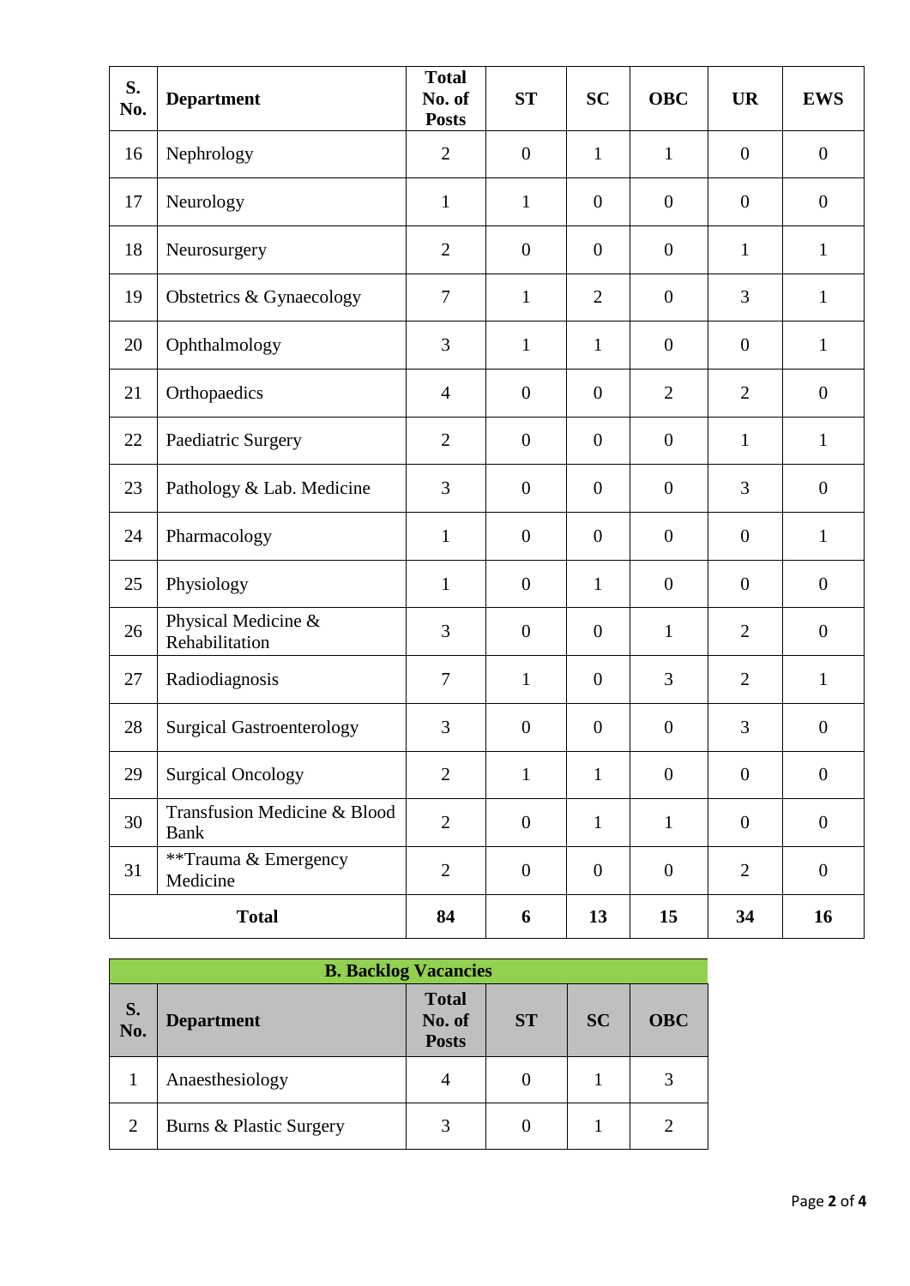| S.<br>No.    | <b>Department</b>                           | <b>Total</b><br>No. of<br><b>Posts</b> | <b>ST</b>        | <b>SC</b>        | <b>OBC</b>       | <b>UR</b>        | <b>EWS</b>       |
|--------------|---------------------------------------------|----------------------------------------|------------------|------------------|------------------|------------------|------------------|
| 16           | Nephrology                                  | $\overline{2}$                         | $\boldsymbol{0}$ | $\mathbf{1}$     | $\mathbf{1}$     | $\overline{0}$   | $\boldsymbol{0}$ |
| 17           | Neurology                                   | $\mathbf{1}$                           | $\mathbf{1}$     | $\boldsymbol{0}$ | $\boldsymbol{0}$ | $\boldsymbol{0}$ | $\boldsymbol{0}$ |
| 18           | Neurosurgery                                | $\overline{2}$                         | $\boldsymbol{0}$ | $\overline{0}$   | $\boldsymbol{0}$ | $\mathbf{1}$     | $\mathbf{1}$     |
| 19           | Obstetrics & Gynaecology                    | $\overline{7}$                         | $\mathbf{1}$     | $\overline{2}$   | $\boldsymbol{0}$ | 3                | $\mathbf{1}$     |
| 20           | Ophthalmology                               | 3                                      | $\mathbf{1}$     | $\mathbf{1}$     | $\overline{0}$   | $\theta$         | $\mathbf{1}$     |
| 21           | Orthopaedics                                | $\overline{4}$                         | $\boldsymbol{0}$ | $\overline{0}$   | $\overline{2}$   | $\overline{2}$   | $\mathbf{0}$     |
| 22           | Paediatric Surgery                          | $\overline{2}$                         | $\overline{0}$   | $\overline{0}$   | $\boldsymbol{0}$ | $\mathbf{1}$     | $\mathbf{1}$     |
| 23           | Pathology & Lab. Medicine                   | 3                                      | $\boldsymbol{0}$ | $\overline{0}$   | $\boldsymbol{0}$ | 3                | $\mathbf{0}$     |
| 24           | Pharmacology                                | $\mathbf{1}$                           | $\boldsymbol{0}$ | $\boldsymbol{0}$ | $\boldsymbol{0}$ | $\boldsymbol{0}$ | $\mathbf{1}$     |
| 25           | Physiology                                  | $\mathbf{1}$                           | $\boldsymbol{0}$ | $\mathbf{1}$     | $\boldsymbol{0}$ | $\overline{0}$   | $\mathbf{0}$     |
| 26           | Physical Medicine &<br>Rehabilitation       | 3                                      | $\boldsymbol{0}$ | $\overline{0}$   | $\mathbf{1}$     | $\overline{2}$   | $\boldsymbol{0}$ |
| 27           | Radiodiagnosis                              | $\overline{7}$                         | $\mathbf{1}$     | $\overline{0}$   | 3                | $\overline{2}$   | $\mathbf{1}$     |
| 28           | <b>Surgical Gastroenterology</b>            | 3                                      | $\overline{0}$   | $\overline{0}$   | $\boldsymbol{0}$ | 3                | $\mathbf{0}$     |
| 29           | <b>Surgical Oncology</b>                    | $\overline{2}$                         | $\mathbf{1}$     | $\mathbf{1}$     | $\mathbf{0}$     | $\mathbf{0}$     | $\mathbf{0}$     |
| 30           | Transfusion Medicine & Blood<br><b>Bank</b> | $\overline{2}$                         | $\boldsymbol{0}$ | $\mathbf{1}$     | $\mathbf{1}$     | $\mathbf{0}$     | $\boldsymbol{0}$ |
| 31           | **Trauma & Emergency<br>Medicine            | $\mathbf{2}$                           | $\boldsymbol{0}$ | $\boldsymbol{0}$ | $\boldsymbol{0}$ | $\overline{2}$   | $\boldsymbol{0}$ |
| <b>Total</b> |                                             | 84                                     | 6                | 13               | 15               | 34               | 16               |

| <b>B. Backlog Vacancies</b> |                         |                                        |           |           |            |  |
|-----------------------------|-------------------------|----------------------------------------|-----------|-----------|------------|--|
| S.<br>No.                   | <b>Department</b>       | <b>Total</b><br>No. of<br><b>Posts</b> | <b>ST</b> | <b>SC</b> | <b>OBC</b> |  |
|                             | Anaesthesiology         | 4                                      |           |           |            |  |
| $\overline{2}$              | Burns & Plastic Surgery | $\mathcal{R}$                          |           |           |            |  |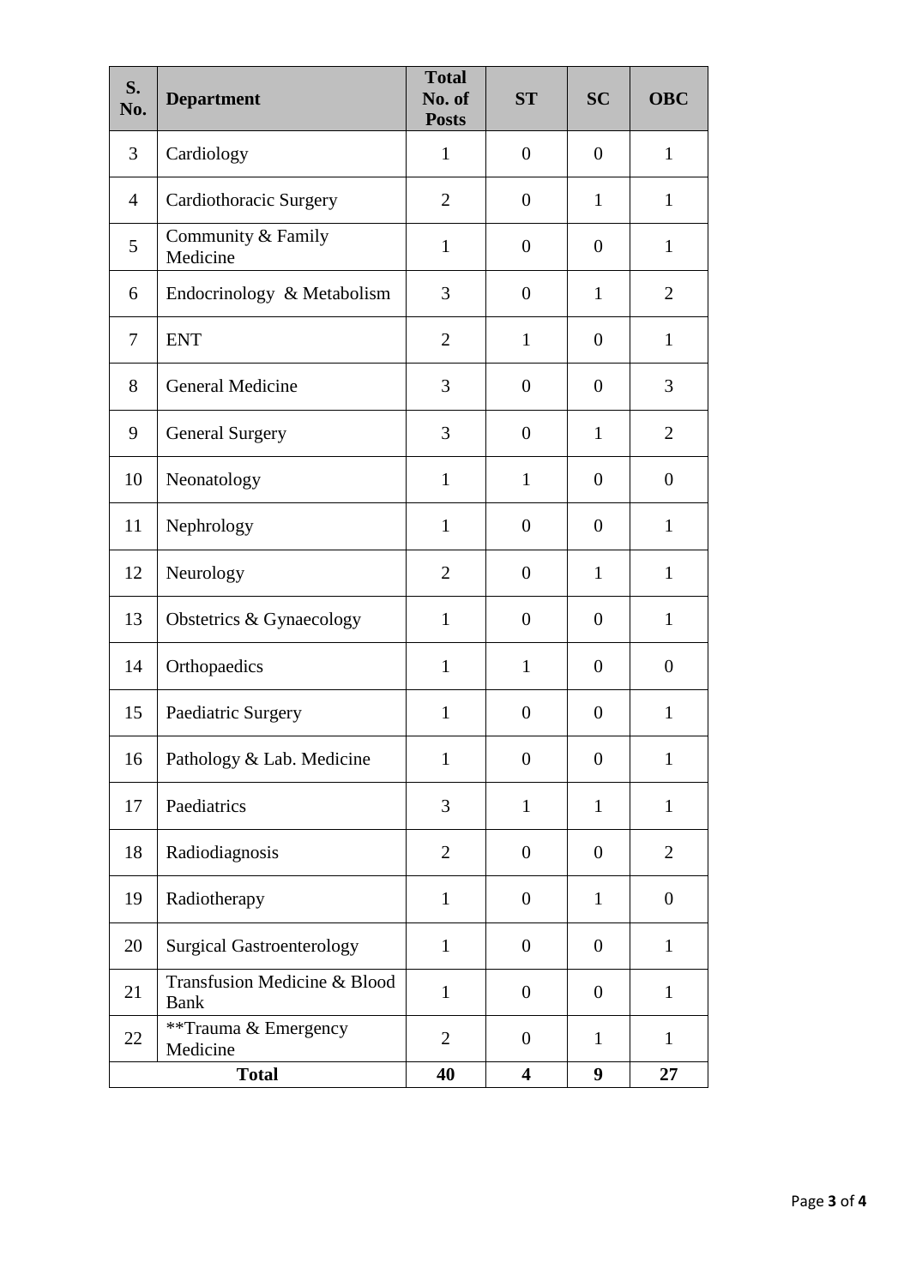| S.<br>No.      | <b>Department</b>                           | <b>Total</b><br>No. of<br><b>Posts</b> | <b>ST</b>               | <b>SC</b>        | <b>OBC</b>       |
|----------------|---------------------------------------------|----------------------------------------|-------------------------|------------------|------------------|
| $\overline{3}$ | Cardiology                                  | $\mathbf{1}$                           | $\overline{0}$          | $\overline{0}$   | $\mathbf{1}$     |
| $\overline{4}$ | Cardiothoracic Surgery                      | $\overline{2}$                         | $\overline{0}$          | $\mathbf{1}$     | $\mathbf{1}$     |
| 5              | Community & Family<br>Medicine              | $\mathbf{1}$                           | $\overline{0}$          | $\overline{0}$   | $\mathbf{1}$     |
| 6              | Endocrinology & Metabolism                  | 3                                      | $\overline{0}$          | $\mathbf{1}$     | $\overline{2}$   |
| 7              | <b>ENT</b>                                  | $\overline{2}$                         | $\mathbf{1}$            | $\boldsymbol{0}$ | $\mathbf{1}$     |
| 8              | General Medicine                            | 3                                      | $\overline{0}$          | $\overline{0}$   | 3                |
| 9              | <b>General Surgery</b>                      | 3                                      | $\overline{0}$          | $\mathbf{1}$     | $\overline{2}$   |
| 10             | Neonatology                                 | $\mathbf{1}$                           | $\mathbf{1}$            | $\overline{0}$   | $\boldsymbol{0}$ |
| 11             | Nephrology                                  | $\mathbf{1}$                           | $\overline{0}$          | $\overline{0}$   | $\mathbf{1}$     |
| 12             | Neurology                                   | $\overline{2}$                         | $\overline{0}$          | $\mathbf{1}$     | $\mathbf{1}$     |
| 13             | Obstetrics & Gynaecology                    | $\mathbf{1}$                           | $\overline{0}$          | $\overline{0}$   | $\mathbf{1}$     |
| 14             | Orthopaedics                                | $\mathbf{1}$                           | $\mathbf{1}$            | $\overline{0}$   | $\overline{0}$   |
| 15             | Paediatric Surgery                          | $\mathbf{1}$                           | $\overline{0}$          | $\overline{0}$   | $\mathbf{1}$     |
| 16             | Pathology & Lab. Medicine                   | $\mathbf{1}$                           | $\overline{0}$          | $\boldsymbol{0}$ | $\mathbf{1}$     |
| 17             | Paediatrics                                 | 3                                      | $\mathbf{1}$            | $\mathbf{1}$     | $\mathbf{1}$     |
| 18             | Radiodiagnosis                              | $\overline{2}$                         | $\overline{0}$          | $\boldsymbol{0}$ | $\overline{2}$   |
| 19             | Radiotherapy                                | $\mathbf{1}$                           | $\boldsymbol{0}$        | $\mathbf{1}$     | $\boldsymbol{0}$ |
| 20             | <b>Surgical Gastroenterology</b>            | $\mathbf{1}$                           | $\boldsymbol{0}$        | $\boldsymbol{0}$ | $\mathbf{1}$     |
| 21             | Transfusion Medicine & Blood<br><b>Bank</b> | $\mathbf{1}$                           | $\overline{0}$          | $\boldsymbol{0}$ | $\mathbf{1}$     |
| 22             | **Trauma & Emergency<br>Medicine            | $\overline{2}$                         | $\boldsymbol{0}$        | $\mathbf{1}$     | $\mathbf{1}$     |
| <b>Total</b>   |                                             | 40                                     | $\overline{\mathbf{4}}$ | 9                | 27               |